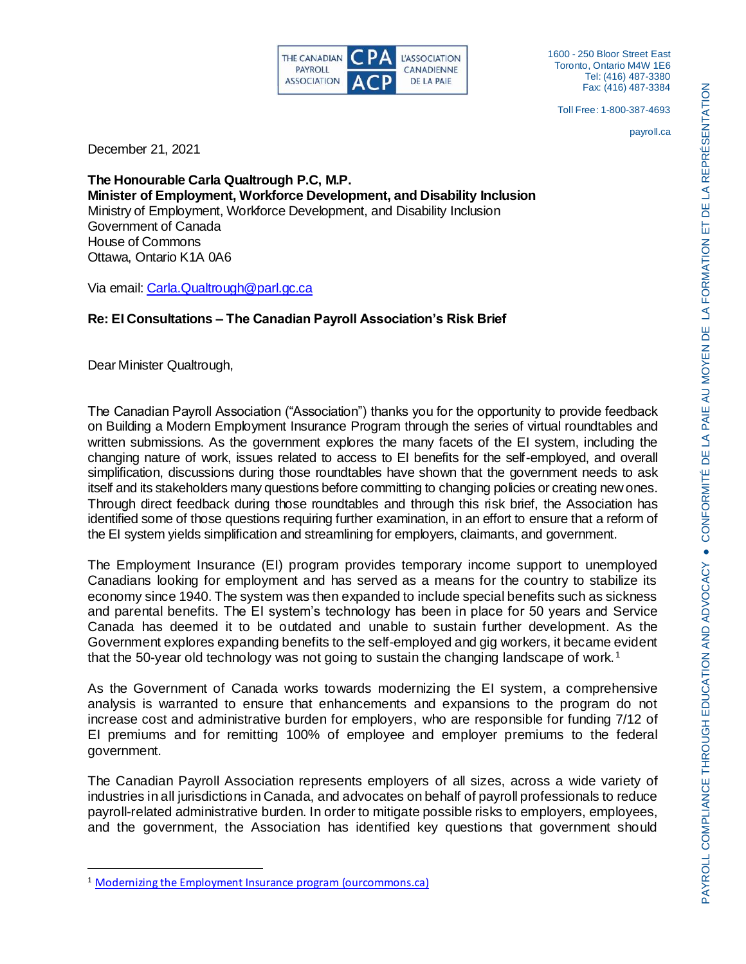

1600 - 250 Bloor Street East Toronto, Ontario M4W 1E6 Tel: (416) 487-3380 Fax: (416) 487-3384

Toll Free: 1-800-387-4693

payroll.ca

December 21, 2021

**The Honourable Carla Qualtrough P.C, M.P. Minister of Employment, Workforce Development, and Disability Inclusion** Ministry of Employment, Workforce Development, and Disability Inclusion Government of Canada House of Commons Ottawa, Ontario K1A 0A6

Via email[: Carla.Qualtrough@parl.gc.ca](mailto:Carla.Qualtrough@parl.gc.ca)

# **Re: EI Consultations – The Canadian Payroll Association's Risk Brief**

Dear Minister Qualtrough,

 $\overline{a}$ 

The Canadian Payroll Association ("Association") thanks you for the opportunity to provide feedback on Building a Modern Employment Insurance Program through the series of virtual roundtables and written submissions. As the government explores the many facets of the EI system, including the changing nature of work, issues related to access to EI benefits for the self-employed, and overall simplification, discussions during those roundtables have shown that the government needs to ask itself and its stakeholders many questions before committing to changing policies or creating new ones. Through direct feedback during those roundtables and through this risk brief, the Association has identified some of those questions requiring further examination, in an effort to ensure that a reform of the EI system yields simplification and streamlining for employers, claimants, and government.

The Employment Insurance (EI) program provides temporary income support to unemployed Canadians looking for employment and has served as a means for the country to stabilize its economy since 1940. The system was then expanded to include special benefits such as sickness and parental benefits. The EI system's technology has been in place for 50 years and Service Canada has deemed it to be outdated and unable to sustain further development. As the Government explores expanding benefits to the self-employed and gig workers, it became evident that the 50-year old technology was not going to sustain the changing landscape of work.<sup>1</sup>

As the Government of Canada works towards modernizing the EI system, a comprehensive analysis is warranted to ensure that enhancements and expansions to the program do not increase cost and administrative burden for employers, who are responsible for funding 7/12 of EI premiums and for remitting 100% of employee and employer premiums to the federal government.

The Canadian Payroll Association represents employers of all sizes, across a wide variety of industries in all jurisdictions in Canada, and advocates on behalf of payroll professionals to reduce payroll-related administrative burden. In order to mitigate possible risks to employers, employees, and the government, the Association has identified key questions that government should

<sup>&</sup>lt;sup>1</sup> [Modernizing the Employment Insurance program \(ourcommons.ca\)](https://www.ourcommons.ca/Content/Committee/432/HUMA/Reports/RP11439397/humarp06/humarp06-e.pdf)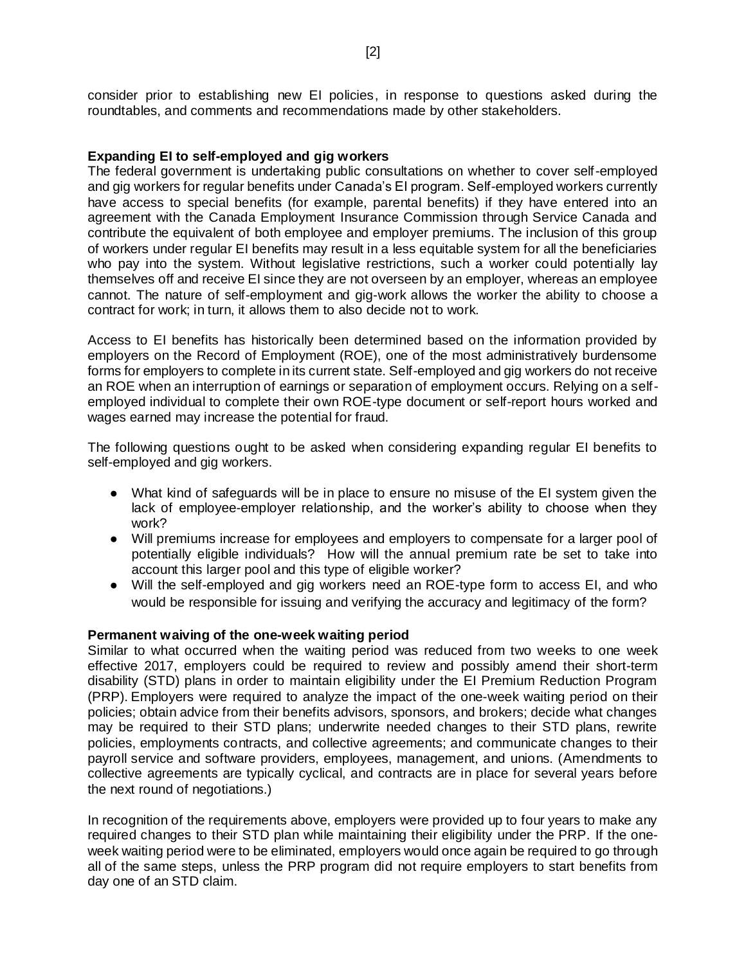consider prior to establishing new EI policies, in response to questions asked during the roundtables, and comments and recommendations made by other stakeholders.

#### **Expanding EI to self-employed and gig workers**

The federal government is undertaking public consultations on whether to cover self-employed and gig workers for regular benefits under Canada's EI program. Self-employed workers currently have access to special benefits (for example, parental benefits) if they have entered into an agreement with the Canada Employment Insurance Commission through Service Canada and contribute the equivalent of both employee and employer premiums. The inclusion of this group of workers under regular EI benefits may result in a less equitable system for all the beneficiaries who pay into the system. Without legislative restrictions, such a worker could potentially lay themselves off and receive EI since they are not overseen by an employer, whereas an employee cannot. The nature of self-employment and gig-work allows the worker the ability to choose a contract for work; in turn, it allows them to also decide not to work.

Access to EI benefits has historically been determined based on the information provided by employers on the Record of Employment (ROE), one of the most administratively burdensome forms for employers to complete in its current state. Self-employed and gig workers do not receive an ROE when an interruption of earnings or separation of employment occurs. Relying on a selfemployed individual to complete their own ROE-type document or self-report hours worked and wages earned may increase the potential for fraud.

The following questions ought to be asked when considering expanding regular EI benefits to self-employed and gig workers.

- What kind of safeguards will be in place to ensure no misuse of the EI system given the lack of employee-employer relationship, and the worker's ability to choose when they work?
- Will premiums increase for employees and employers to compensate for a larger pool of potentially eligible individuals? How will the annual premium rate be set to take into account this larger pool and this type of eligible worker?
- Will the self-employed and gig workers need an ROE-type form to access EI, and who would be responsible for issuing and verifying the accuracy and legitimacy of the form?

#### **Permanent waiving of the one-week waiting period**

Similar to what occurred when the waiting period was reduced from two weeks to one week effective 2017, employers could be required to review and possibly amend their short-term disability (STD) plans in order to maintain eligibility under the EI Premium Reduction Program (PRP). Employers were required to analyze the impact of the one-week waiting period on their policies; obtain advice from their benefits advisors, sponsors, and brokers; decide what changes may be required to their STD plans; underwrite needed changes to their STD plans, rewrite policies, employments contracts, and collective agreements; and communicate changes to their payroll service and software providers, employees, management, and unions. (Amendments to collective agreements are typically cyclical, and contracts are in place for several years before the next round of negotiations.)

In recognition of the requirements above, employers were provided up to four years to make any required changes to their STD plan while maintaining their eligibility under the PRP. If the oneweek waiting period were to be eliminated, employers would once again be required to go through all of the same steps, unless the PRP program did not require employers to start benefits from day one of an STD claim.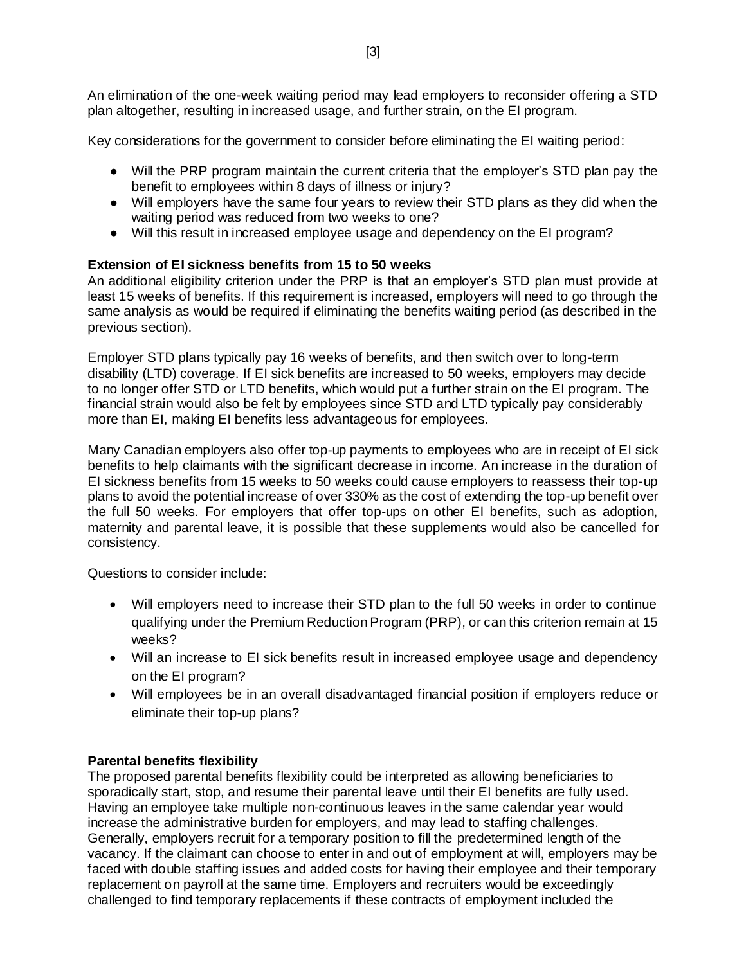An elimination of the one-week waiting period may lead employers to reconsider offering a STD plan altogether, resulting in increased usage, and further strain, on the EI program.

Key considerations for the government to consider before eliminating the EI waiting period:

- Will the PRP program maintain the current criteria that the employer's STD plan pay the benefit to employees within 8 days of illness or injury?
- Will employers have the same four years to review their STD plans as they did when the waiting period was reduced from two weeks to one?
- Will this result in increased employee usage and dependency on the EI program?

# **Extension of EI sickness benefits from 15 to 50 weeks**

An additional eligibility criterion under the PRP is that an employer's STD plan must provide at least 15 weeks of benefits. If this requirement is increased, employers will need to go through the same analysis as would be required if eliminating the benefits waiting period (as described in the previous section).

Employer STD plans typically pay 16 weeks of benefits, and then switch over to long-term disability (LTD) coverage. If EI sick benefits are increased to 50 weeks, employers may decide to no longer offer STD or LTD benefits, which would put a further strain on the EI program. The financial strain would also be felt by employees since STD and LTD typically pay considerably more than EI, making EI benefits less advantageous for employees.

Many Canadian employers also offer top-up payments to employees who are in receipt of EI sick benefits to help claimants with the significant decrease in income. An increase in the duration of EI sickness benefits from 15 weeks to 50 weeks could cause employers to reassess their top-up plans to avoid the potential increase of over 330% as the cost of extending the top-up benefit over the full 50 weeks. For employers that offer top-ups on other EI benefits, such as adoption, maternity and parental leave, it is possible that these supplements would also be cancelled for consistency.

Questions to consider include:

- Will employers need to increase their STD plan to the full 50 weeks in order to continue qualifying under the Premium Reduction Program (PRP), or can this criterion remain at 15 weeks?
- Will an increase to EI sick benefits result in increased employee usage and dependency on the EI program?
- Will employees be in an overall disadvantaged financial position if employers reduce or eliminate their top-up plans?

## **Parental benefits flexibility**

The proposed parental benefits flexibility could be interpreted as allowing beneficiaries to sporadically start, stop, and resume their parental leave until their EI benefits are fully used. Having an employee take multiple non-continuous leaves in the same calendar year would increase the administrative burden for employers, and may lead to staffing challenges. Generally, employers recruit for a temporary position to fill the predetermined length of the vacancy. If the claimant can choose to enter in and out of employment at will, employers may be faced with double staffing issues and added costs for having their employee and their temporary replacement on payroll at the same time. Employers and recruiters would be exceedingly challenged to find temporary replacements if these contracts of employment included the